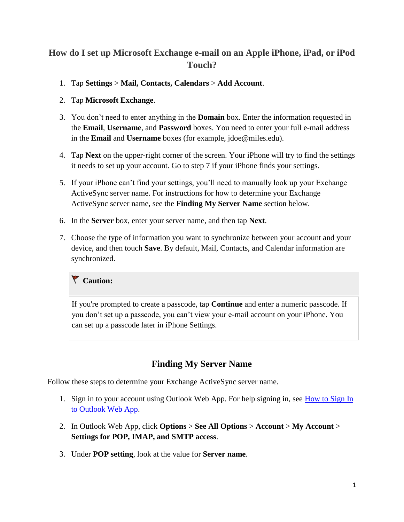# **How do I set up Microsoft Exchange e-mail on an Apple iPhone, iPad, or iPod Touch?**

- 1. Tap **Settings** > **Mail, Contacts, Calendars** > **Add Account**.
- 2. Tap **Microsoft Exchange**.
- 3. You don't need to enter anything in the **Domain** box. Enter the information requested in the **Email**, **Username**, and **Password** boxes. You need to enter your full e-mail address in the **Email** and **Username** boxes (for example, jdoe@miles.edu).
- 4. Tap **Next** on the upper-right corner of the screen. Your iPhone will try to find the settings it needs to set up your account. Go to step 7 if your iPhone finds your settings.
- 5. If your iPhone can't find your settings, you'll need to manually look up your Exchange ActiveSync server name. For instructions for how to determine your Exchange ActiveSync server name, see the **Finding My Server Name** section below.
- 6. In the **Server** box, enter your server name, and then tap **Next**.
- 7. Choose the type of information you want to synchronize between your account and your device, and then touch **Save**. By default, Mail, Contacts, and Calendar information are synchronized.

## **Caution:**

If you're prompted to create a passcode, tap **Continue** and enter a numeric passcode. If you don't set up a passcode, you can't view your e-mail account on your iPhone. You can set up a passcode later in iPhone Settings.

## **Finding My Server Name**

Follow these steps to determine your Exchange ActiveSync server name.

- 1. Sign in to your account using Outlook Web App. For help signing in, see [How to Sign In](http://help.outlook.com/en-us/140/ee410552.aspx)  [to Outlook Web App.](http://help.outlook.com/en-us/140/ee410552.aspx)
- 2. In Outlook Web App, click **Options** > **See All Options** > **Account** > **My Account** > **Settings for POP, IMAP, and SMTP access**.
- 3. Under **POP setting**, look at the value for **Server name**.